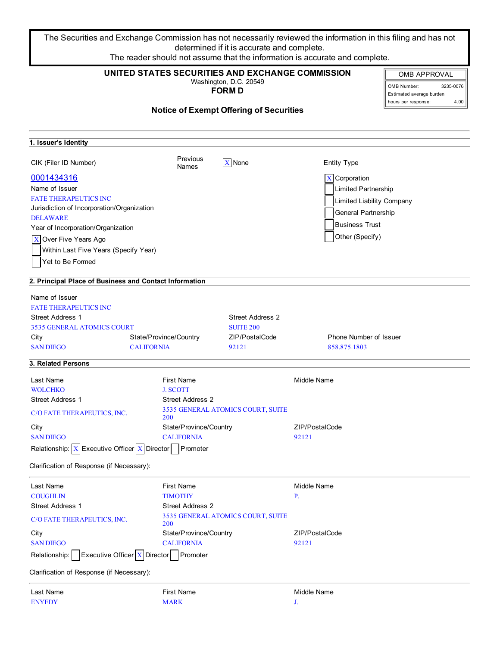The Securities and Exchange Commission has not necessarily reviewed the information in this filing and has not determined if it is accurate and complete.

| The reader should not assume that the information is accurate and complete.                                                                                                                                                                                                                                                                                                                                                                                       |                                                                                                  |                                                                                           |                                                                                                                                                                                                           |                                                                                                            |  |
|-------------------------------------------------------------------------------------------------------------------------------------------------------------------------------------------------------------------------------------------------------------------------------------------------------------------------------------------------------------------------------------------------------------------------------------------------------------------|--------------------------------------------------------------------------------------------------|-------------------------------------------------------------------------------------------|-----------------------------------------------------------------------------------------------------------------------------------------------------------------------------------------------------------|------------------------------------------------------------------------------------------------------------|--|
|                                                                                                                                                                                                                                                                                                                                                                                                                                                                   | UNITED STATES SECURITIES AND EXCHANGE COMMISSION                                                 | Washington, D.C. 20549<br><b>FORM D</b><br><b>Notice of Exempt Offering of Securities</b> |                                                                                                                                                                                                           | <b>OMB APPROVAL</b><br>3235-0076<br>OMB Number:<br>Estimated average burden<br>4.00<br>hours per response: |  |
| 1. Issuer's Identity                                                                                                                                                                                                                                                                                                                                                                                                                                              |                                                                                                  |                                                                                           |                                                                                                                                                                                                           |                                                                                                            |  |
| CIK (Filer ID Number)                                                                                                                                                                                                                                                                                                                                                                                                                                             | Previous<br><b>Names</b>                                                                         | $\overline{X}$ None                                                                       | <b>Entity Type</b>                                                                                                                                                                                        |                                                                                                            |  |
| 0001434316<br>Name of Issuer<br><b>FATE THERAPEUTICS INC</b><br>Jurisdiction of Incorporation/Organization<br><b>DELAWARE</b><br>Year of Incorporation/Organization<br>X Over Five Years Ago<br>Within Last Five Years (Specify Year)<br>Yet to Be Formed<br>2. Principal Place of Business and Contact Information<br>Name of Issuer<br><b>FATE THERAPEUTICS INC</b><br><b>Street Address 1</b><br><b>3535 GENERAL ATOMICS COURT</b><br>City<br><b>SAN DIEGO</b> | State/Province/Country<br><b>CALIFORNIA</b>                                                      | <b>Street Address 2</b><br><b>SUITE 200</b><br>ZIP/PostalCode<br>92121                    | $\overline{X}$ Corporation<br>Limited Partnership<br>Limited Liability Company<br><b>General Partnership</b><br><b>Business Trust</b><br>Other (Specify)<br><b>Phone Number of Issuer</b><br>858.875.1803 |                                                                                                            |  |
| 3. Related Persons                                                                                                                                                                                                                                                                                                                                                                                                                                                |                                                                                                  |                                                                                           |                                                                                                                                                                                                           |                                                                                                            |  |
| Last Name<br><b>WOLCHKO</b><br><b>Street Address 1</b><br>C/O FATE THERAPEUTICS, INC.<br>City                                                                                                                                                                                                                                                                                                                                                                     | <b>First Name</b><br><b>J. SCOTT</b><br><b>Street Address 2</b><br>200<br>State/Province/Country | 3535 GENERAL ATOMICS COURT, SUITE                                                         | <b>Middle Name</b><br>ZIP/PostalCode                                                                                                                                                                      |                                                                                                            |  |
| <b>SAN DIEGO</b><br>Executive Officer $X$ Director<br>Relationship: $X$                                                                                                                                                                                                                                                                                                                                                                                           | <b>CALIFORNIA</b><br>Promoter                                                                    |                                                                                           | 92121                                                                                                                                                                                                     |                                                                                                            |  |

Clarification of Response (if Necessary):

| Last Name                                                      | <b>First Name</b>                               | Middle Name    |
|----------------------------------------------------------------|-------------------------------------------------|----------------|
| <b>COUGHLIN</b>                                                | <b>TIMOTHY</b><br><b>P.</b>                     |                |
| <b>Street Address 1</b>                                        | <b>Street Address 2</b>                         |                |
| C/O FATE THERAPEUTICS, INC.                                    | 3535 GENERAL ATOMICS COURT, SUITE<br><b>200</b> |                |
| City                                                           | State/Province/Country                          | ZIP/PostalCode |
| <b>SAN DIEGO</b>                                               | <b>CALIFORNIA</b>                               | 92121          |
| <b>Executive Officer</b> $\boxed{X}$ Director<br>Relationship: | Promoter                                        |                |
| Clarification of Response (if Necessary):                      |                                                 |                |

ENYEDY MARK J.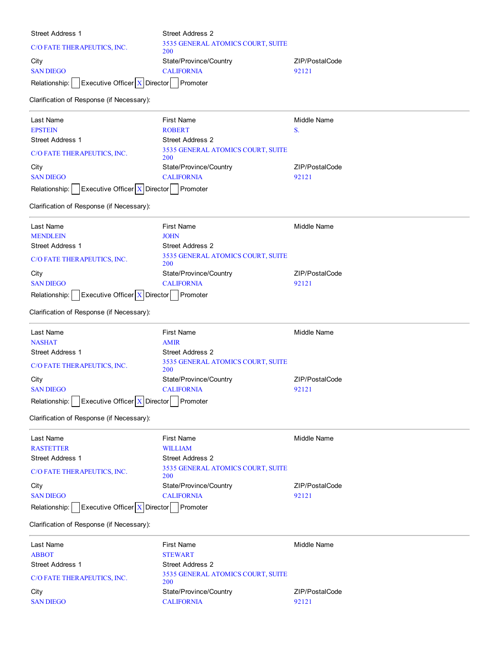| Street Address 1                                         | <b>Street Address 2</b>                         |                    |  |
|----------------------------------------------------------|-------------------------------------------------|--------------------|--|
| C/O FATE THERAPEUTICS, INC.                              | 3535 GENERAL ATOMICS COURT, SUITE               |                    |  |
| City                                                     | 200<br>State/Province/Country                   | ZIP/PostalCode     |  |
| <b>SAN DIEGO</b>                                         | <b>CALIFORNIA</b>                               | 92121              |  |
| Executive Officer $X$ Director Promoter<br>Relationship: |                                                 |                    |  |
|                                                          |                                                 |                    |  |
| Clarification of Response (if Necessary):                |                                                 |                    |  |
| Last Name                                                | <b>First Name</b>                               | <b>Middle Name</b> |  |
| <b>EPSTEIN</b>                                           | <b>ROBERT</b>                                   | S.                 |  |
| <b>Street Address 1</b>                                  | <b>Street Address 2</b>                         |                    |  |
| C/O FATE THERAPEUTICS, INC.                              | 3535 GENERAL ATOMICS COURT, SUITE<br><b>200</b> |                    |  |
| City                                                     | State/Province/Country                          | ZIP/PostalCode     |  |
| <b>SAN DIEGO</b>                                         | <b>CALIFORNIA</b>                               | 92121              |  |
| Executive Officer $X$ Director Promoter<br>Relationship: |                                                 |                    |  |
| Clarification of Response (if Necessary):                |                                                 |                    |  |
| Last Name                                                | <b>First Name</b>                               | <b>Middle Name</b> |  |
| <b>MENDLEIN</b>                                          | JOHN                                            |                    |  |
| <b>Street Address 1</b>                                  | <b>Street Address 2</b>                         |                    |  |
| C/O FATE THERAPEUTICS, INC.                              | 3535 GENERAL ATOMICS COURT, SUITE<br><b>200</b> |                    |  |
| City                                                     | State/Province/Country                          | ZIP/PostalCode     |  |
| <b>SAN DIEGO</b>                                         | <b>CALIFORNIA</b>                               | 92121              |  |
| Executive Officer $X$ Director Promoter<br>Relationship: |                                                 |                    |  |
| Clarification of Response (if Necessary):                |                                                 |                    |  |
| Last Name                                                | <b>First Name</b>                               | <b>Middle Name</b> |  |
| <b>NASHAT</b>                                            | AMIR                                            |                    |  |
| <b>Street Address 1</b>                                  | <b>Street Address 2</b>                         |                    |  |
| C/O FATE THERAPEUTICS, INC.                              | 3535 GENERAL ATOMICS COURT, SUITE<br>200        |                    |  |
| City                                                     | State/Province/Country                          | ZIP/PostalCode     |  |
| <b>SAN DIEGO</b>                                         | <b>CALIFORNIA</b>                               | 92121              |  |
| Executive Officer $X$ Director Promoter<br>Relationship: |                                                 |                    |  |
| Clarification of Response (if Necessary):                |                                                 |                    |  |
| Last Name                                                | <b>First Name</b>                               | <b>Middle Name</b> |  |
| <b>RASTETTER</b>                                         | <b>WILLIAM</b>                                  |                    |  |
| Street Address 1                                         | Street Address 2                                |                    |  |
| C/O FATE THERAPEUTICS, INC.                              | 3535 GENERAL ATOMICS COURT, SUITE<br>200        |                    |  |
| City                                                     | State/Province/Country                          | ZIP/PostalCode     |  |
| <b>SAN DIEGO</b>                                         | <b>CALIFORNIA</b>                               | 92121              |  |
| Executive Officer $X$ Director Promoter<br>Relationship: |                                                 |                    |  |
| Clarification of Response (if Necessary):                |                                                 |                    |  |
| Last Name                                                | <b>First Name</b>                               | Middle Name        |  |
| <b>ABBOT</b>                                             | <b>STEWART</b>                                  |                    |  |
| <b>Street Address 1</b>                                  | <b>Street Address 2</b>                         |                    |  |
| C/O FATE THERAPEUTICS, INC.                              | 3535 GENERAL ATOMICS COURT, SUITE<br><b>200</b> |                    |  |
| City                                                     | State/Province/Country                          | ZIP/PostalCode     |  |
| <b>SAN DIEGO</b>                                         | <b>CALIFORNIA</b>                               | 92121              |  |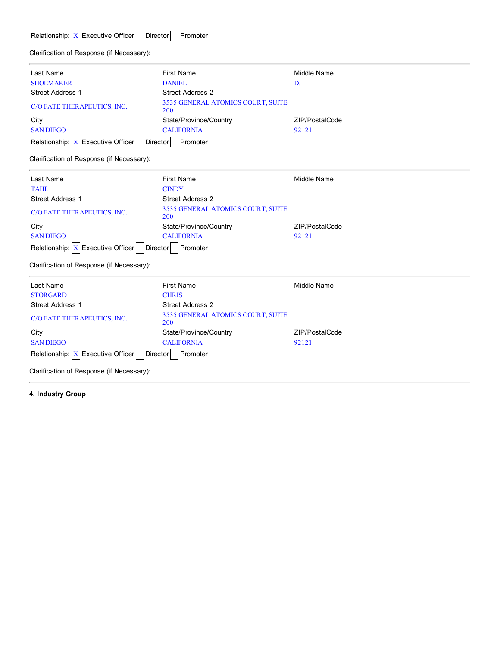# Relationship:  $\boxed{\textbf{X}}$  Executive Officer Director Promoter

Clarification of Response (if Necessary):

| Last Name                                               | <b>First Name</b>                               | Middle Name    |
|---------------------------------------------------------|-------------------------------------------------|----------------|
| <b>SHOEMAKER</b>                                        | <b>DANIEL</b>                                   | D.             |
| <b>Street Address 1</b>                                 | <b>Street Address 2</b>                         |                |
| C/O FATE THERAPEUTICS, INC.                             | 3535 GENERAL ATOMICS COURT, SUITE<br><b>200</b> |                |
| City                                                    | State/Province/Country                          | ZIP/PostalCode |
| <b>SAN DIEGO</b>                                        | <b>CALIFORNIA</b>                               | 92121          |
| Relationship: $\boxed{X}$ Executive Officer<br>Director | Promoter                                        |                |

Clarification of Response (if Necessary):

| Last Name                                              | <b>First Name</b>                        | Middle Name    |
|--------------------------------------------------------|------------------------------------------|----------------|
| <b>TAHL</b>                                            | <b>CINDY</b>                             |                |
| <b>Street Address 1</b>                                | <b>Street Address 2</b>                  |                |
| C/O FATE THERAPEUTICS, INC.                            | 3535 GENERAL ATOMICS COURT, SUITE<br>200 |                |
| City                                                   | State/Province/Country                   | ZIP/PostalCode |
| <b>SAN DIEGO</b>                                       | <b>CALIFORNIA</b>                        | 92121          |
| Relationship: $X$ Executive Officer<br><b>Director</b> | Promoter                                 |                |

Clarification of Response (if Necessary):

| Last Name                                                               | <b>First Name</b>                               | Middle Name    |  |  |
|-------------------------------------------------------------------------|-------------------------------------------------|----------------|--|--|
| <b>STORGARD</b>                                                         | <b>CHRIS</b>                                    |                |  |  |
| <b>Street Address 1</b>                                                 | Street Address 2                                |                |  |  |
| C/O FATE THERAPEUTICS, INC.                                             | <b>3535 GENERAL ATOMICS COURT, SUITE</b><br>200 |                |  |  |
| City                                                                    | State/Province/Country                          | ZIP/PostalCode |  |  |
| <b>SAN DIEGO</b>                                                        | <b>CALIFORNIA</b>                               | 92121          |  |  |
| Relationship: $\boxed{\text{X}}$ Executive Officer Director<br>Promoter |                                                 |                |  |  |
| Clarification of Response (if Necessary):                               |                                                 |                |  |  |

**4. Industry Group**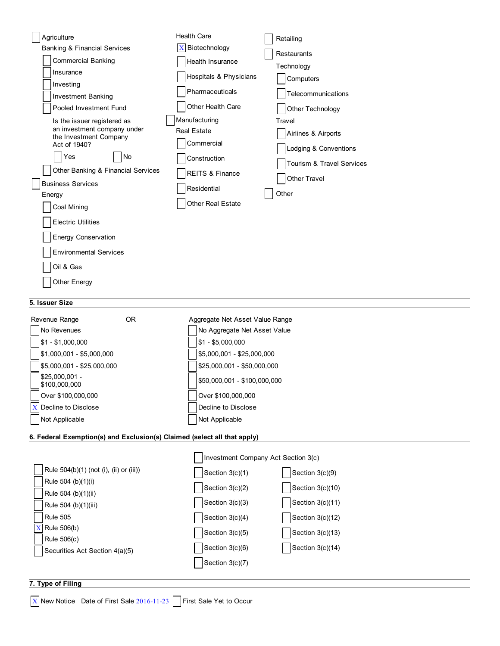| Agriculture                                                | <b>Health Care</b>                  | Retailing                 |
|------------------------------------------------------------|-------------------------------------|---------------------------|
| <b>Banking &amp; Financial Services</b>                    | Biotechnology<br>$\mathbf{X}$       | Restaurants               |
| <b>Commercial Banking</b>                                  | Health Insurance                    | Technology                |
| Insurance                                                  | Hospitals & Physicians              | Computers                 |
| Investing                                                  | Pharmaceuticals                     | Telecommunications        |
| <b>Investment Banking</b>                                  | Other Health Care                   |                           |
| Pooled Investment Fund                                     |                                     | Other Technology          |
| Is the issuer registered as<br>an investment company under | Manufacturing<br><b>Real Estate</b> | Travel                    |
| the Investment Company<br>Act of 1940?                     | Commercial                          | Airlines & Airports       |
| Yes<br>No                                                  |                                     | Lodging & Conventions     |
| Other Banking & Financial Services                         | Construction                        | Tourism & Travel Services |
| <b>Business Services</b>                                   | <b>REITS &amp; Finance</b>          | <b>Other Travel</b>       |
| Energy                                                     | Residential                         | Other                     |
| Coal Mining                                                | <b>Other Real Estate</b>            |                           |
| <b>Electric Utilities</b>                                  |                                     |                           |
| <b>Energy Conservation</b>                                 |                                     |                           |
| <b>Environmental Services</b>                              |                                     |                           |
| Oil & Gas                                                  |                                     |                           |
| Other Energy                                               |                                     |                           |
|                                                            |                                     |                           |

### **5. Issuer Size**

| Revenue Range                   | 0R | Aggregate Net Asset Value Range |
|---------------------------------|----|---------------------------------|
| No Revenues                     |    | No Aggregate Net Asset Value    |
| $$1 - $1,000,000$               |    | $$1 - $5,000,000$               |
| $$1,000,001 - $5,000,000$       |    | \$5,000,001 - \$25,000,000      |
| $$5,000,001 - $25,000,000$      |    | \$25,000,001 - \$50,000,000     |
| \$25,000.001 -<br>\$100,000,000 |    | \$50,000,001 - \$100,000,000    |
| Over \$100,000,000              |    | Over \$100,000,000              |
| <b>X</b> Decline to Disclose    |    | Decline to Disclose             |
| Not Applicable                  |    | Not Applicable                  |

## **6. Federal Exemption(s) and Exclusion(s) Claimed (select all that apply)**

|                                         | Investment Company Act Section 3(c) |                  |
|-----------------------------------------|-------------------------------------|------------------|
| Rule 504(b)(1) (not (i), (ii) or (iii)) | Section 3(c)(1)                     | Section 3(c)(9)  |
| Rule 504 (b)(1)(i)                      | Section 3(c)(2)                     | Section 3(c)(10) |
| Rule 504 (b)(1)(ii)                     |                                     |                  |
| Rule 504 (b)(1)(iii)                    | Section $3(c)(3)$                   | Section 3(c)(11) |
| <b>Rule 505</b>                         | Section 3(c)(4)                     | Section 3(c)(12) |
| Rule 506(b)                             | Section 3(c)(5)                     | Section 3(c)(13) |
| Rule 506(c)                             | Section 3(c)(6)                     | Section 3(c)(14) |
| Securities Act Section 4(a)(5)          |                                     |                  |
|                                         | Section 3(c)(7)                     |                  |

## **7. Type of Filing**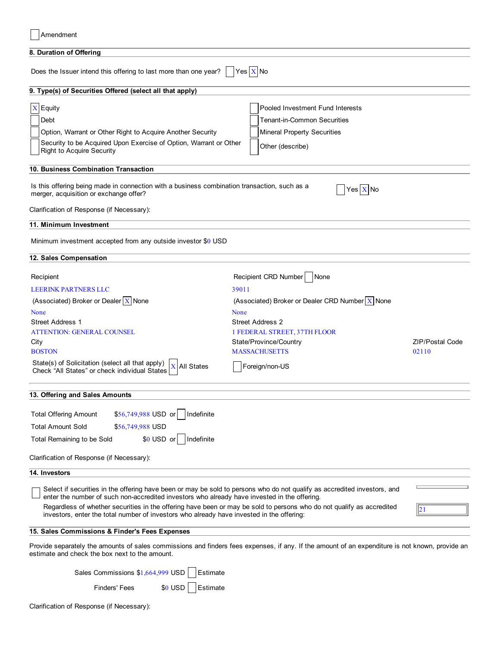| 8. Duration of Offering                                                                                                                                                                                                  |                                                   |                        |
|--------------------------------------------------------------------------------------------------------------------------------------------------------------------------------------------------------------------------|---------------------------------------------------|------------------------|
| Does the Issuer intend this offering to last more than one year?                                                                                                                                                         | $Yes$ $X$ No                                      |                        |
| 9. Type(s) of Securities Offered (select all that apply)                                                                                                                                                                 |                                                   |                        |
| $X$ Equity                                                                                                                                                                                                               | Pooled Investment Fund Interests                  |                        |
| Debt                                                                                                                                                                                                                     | <b>Tenant-in-Common Securities</b>                |                        |
| Option, Warrant or Other Right to Acquire Another Security<br>Security to be Acquired Upon Exercise of Option, Warrant or Other                                                                                          | <b>Mineral Property Securities</b>                |                        |
| <b>Right to Acquire Security</b>                                                                                                                                                                                         | Other (describe)                                  |                        |
| 10. Business Combination Transaction                                                                                                                                                                                     |                                                   |                        |
| Is this offering being made in connection with a business combination transaction, such as a<br>merger, acquisition or exchange offer?                                                                                   | Yes $X$ No                                        |                        |
| Clarification of Response (if Necessary):                                                                                                                                                                                |                                                   |                        |
| 11. Minimum Investment                                                                                                                                                                                                   |                                                   |                        |
| Minimum investment accepted from any outside investor \$0 USD                                                                                                                                                            |                                                   |                        |
| 12. Sales Compensation                                                                                                                                                                                                   |                                                   |                        |
| Recipient                                                                                                                                                                                                                | Recipient CRD Number<br>None                      |                        |
| <b>LEERINK PARTNERS LLC</b>                                                                                                                                                                                              | 39011                                             |                        |
| (Associated) Broker or Dealer $X$ None                                                                                                                                                                                   | (Associated) Broker or Dealer CRD Number $X$ None |                        |
| None                                                                                                                                                                                                                     | None                                              |                        |
| <b>Street Address 1</b>                                                                                                                                                                                                  | <b>Street Address 2</b>                           |                        |
| ATTENTION: GENERAL COUNSEL                                                                                                                                                                                               | 1 FEDERAL STREET, 37TH FLOOR                      |                        |
| City                                                                                                                                                                                                                     | State/Province/Country<br><b>MASSACHUSETTS</b>    | <b>ZIP/Postal Code</b> |
| <b>BOSTON</b><br>State(s) of Solicitation (select all that apply)<br><b>X</b> All States<br>Check "All States" or check individual States                                                                                | Foreign/non-US                                    | 02110                  |
| 13. Offering and Sales Amounts                                                                                                                                                                                           |                                                   |                        |
|                                                                                                                                                                                                                          |                                                   |                        |
| \$56,749,988 USD or<br>Indefinite<br><b>Total Offering Amount</b>                                                                                                                                                        |                                                   |                        |
| <b>Total Amount Sold</b><br>\$56,749,988 USD                                                                                                                                                                             |                                                   |                        |
| $$0$ USD or<br>Indefinite<br>Total Remaining to be Sold                                                                                                                                                                  |                                                   |                        |
| Clarification of Response (if Necessary):                                                                                                                                                                                |                                                   |                        |
| 14. Investors                                                                                                                                                                                                            |                                                   |                        |
| Select if securities in the offering have been or may be sold to persons who do not qualify as accredited investors, and<br>enter the number of such non-accredited investors who already have invested in the offering. |                                                   |                        |
| Regardless of whether securities in the offering have been or may be sold to persons who do not qualify as accredited<br>investors, enter the total number of investors who already have invested in the offering:       |                                                   |                        |
| 15. Sales Commissions & Finder's Fees Expenses                                                                                                                                                                           |                                                   |                        |
| Provide separately the amounts of sales commissions and finders fees expenses, if any. If the amount of an expenditure is not known, provide an<br>estimate and check the box next to the amount.                        |                                                   |                        |
| Sales Commissions \$1,664,999 USD<br>Estimate                                                                                                                                                                            |                                                   |                        |
| <b>Finders' Fees</b><br>Estimate<br>$$0$ USD                                                                                                                                                                             |                                                   |                        |

Clarification of Response (if Necessary):

Amendment